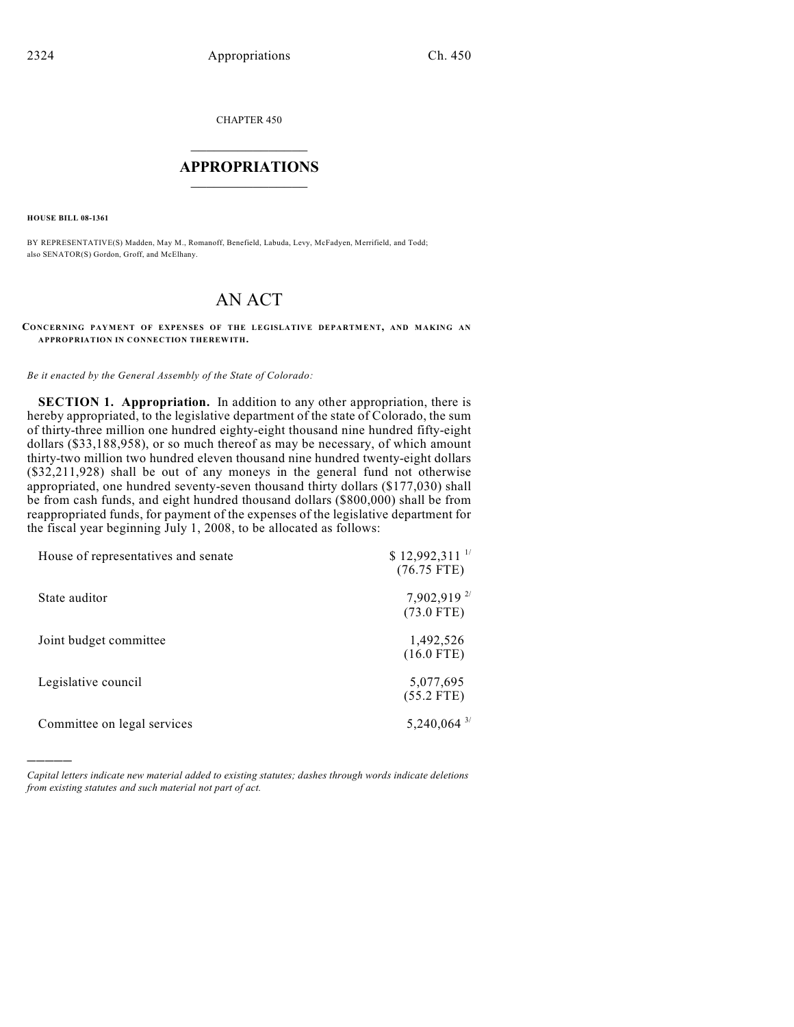CHAPTER 450

## $\mathcal{L}_\text{max}$  . The set of the set of the set of the set of the set of the set of the set of the set of the set of the set of the set of the set of the set of the set of the set of the set of the set of the set of the set **APPROPRIATIONS**  $\_$   $\_$   $\_$   $\_$   $\_$   $\_$   $\_$   $\_$

**HOUSE BILL 08-1361**

)))))

BY REPRESENTATIVE(S) Madden, May M., Romanoff, Benefield, Labuda, Levy, McFadyen, Merrifield, and Todd; also SENATOR(S) Gordon, Groff, and McElhany.

## AN ACT

## **CONCERNING PAYMENT OF EXPENSES OF THE LEGISLATIVE DEPARTMENT, AND MAKING AN APPROPRIATION IN CONNECTION THEREWITH.**

*Be it enacted by the General Assembly of the State of Colorado:*

**SECTION 1. Appropriation.** In addition to any other appropriation, there is hereby appropriated, to the legislative department of the state of Colorado, the sum of thirty-three million one hundred eighty-eight thousand nine hundred fifty-eight dollars (\$33,188,958), or so much thereof as may be necessary, of which amount thirty-two million two hundred eleven thousand nine hundred twenty-eight dollars (\$32,211,928) shall be out of any moneys in the general fund not otherwise appropriated, one hundred seventy-seven thousand thirty dollars (\$177,030) shall be from cash funds, and eight hundred thousand dollars (\$800,000) shall be from reappropriated funds, for payment of the expenses of the legislative department for the fiscal year beginning July 1, 2008, to be allocated as follows:

| House of representatives and senate | $$12,992,311$ <sup>1/</sup><br>$(76.75$ FTE) |
|-------------------------------------|----------------------------------------------|
| State auditor                       | 7,902,919 $^{2/}$<br>$(73.0 \text{ FTE})$    |
| Joint budget committee              | 1,492,526<br>$(16.0$ FTE)                    |
| Legislative council                 | 5,077,695<br>$(55.2$ FTE)                    |
| Committee on legal services         | $5,240,064$ <sup>3/</sup>                    |

*Capital letters indicate new material added to existing statutes; dashes through words indicate deletions from existing statutes and such material not part of act.*